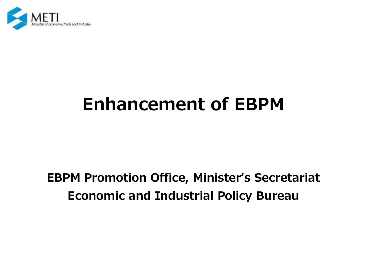

# **Enhancement of EBPM**

## **EBPM Promotion Office, Minister's Secretariat Economic and Industrial Policy Bureau**